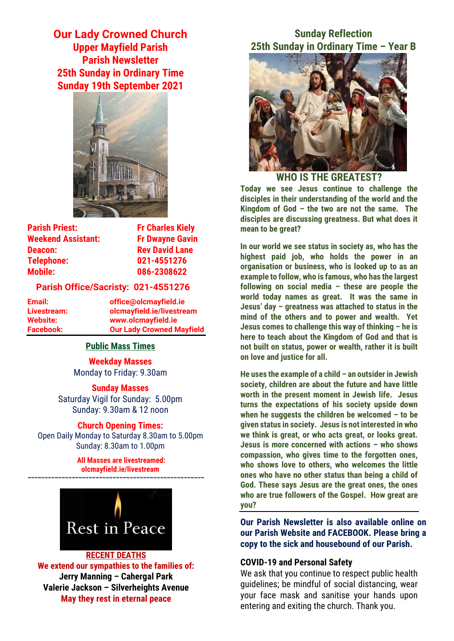**Our Lady Crowned Church Upper Mayfield Parish Parish Newsletter 25th Sunday in Ordinary Time Sunday 19th September 2021**



| <b>Fr Dwayne Gavin</b> |
|------------------------|
| <b>Rev David Lane</b>  |
| 021-4551276            |
| 086-2308622            |
|                        |

### **Parish Office/Sacristy: 021-4551276**

**Email: office@olcmayfield.ie Livestream: olcmayfield.ie/livestream Website: www.olcmayfield.ie Facebook: Our Lady Crowned Mayfield**

## **Public Mass Times**

**Weekday Masses** Monday to Friday: 9.30am

**Sunday Masses** Saturday Vigil for Sunday: 5.00pm Sunday: 9.30am & 12 noon

### **Church Opening Times:**

Open Daily Monday to Saturday 8.30am to 5.00pm Sunday: 8.30am to 1.00pm

> **All Masses are livestreamed: olcmayfield.ie/livestream**

**~~~~~~~~~~~~~~~~~~~~~~~~~~~~~~~~~~~~~~~~~~~~~~~~~~~~**



**RECENT DEATHS We extend our sympathies to the families of: Jerry Manning – Cahergal Park Valerie Jackson – Silverheights Avenue May they rest in eternal peace**

# **Sunday Reflection 25th Sunday in Ordinary Time – Year B**



**WHO IS THE GREATEST? Today we see Jesus continue to challenge the disciples in their understanding of the world and the Kingdom of God – the two are not the same. The disciples are discussing greatness. But what does it mean to be great?**

**In our world we see status in society as, who has the highest paid job, who holds the power in an organisation or business, who is looked up to as an example to follow, who is famous, who has the largest following on social media – these are people the world today names as great. It was the same in Jesus' day – greatness was attached to status in the mind of the others and to power and wealth. Yet Jesus comes to challenge this way of thinking – he is here to teach about the Kingdom of God and that is not built on status, power or wealth, rather it is built on love and justice for all.**

**He uses the example of a child – an outsider in Jewish society, children are about the future and have little worth in the present moment in Jewish life. Jesus turns the expectations of his society upside down when he suggests the children be welcomed – to be given status in society. Jesus is not interested in who we think is great, or who acts great, or looks great. Jesus is more concerned with actions – who shows compassion, who gives time to the forgotten ones, who shows love to others, who welcomes the little ones who have no other status than being a child of God. These says Jesus are the great ones, the ones who are true followers of the Gospel. How great are you?**

**Our Parish Newsletter is also available online on our Parish Website and FACEBOOK. Please bring a copy to the sick and housebound of our Parish.**

## **COVID-19 and Personal Safety**

We ask that you continue to respect public health guidelines; be mindful of social distancing, wear your face mask and sanitise your hands upon entering and exiting the church. Thank you.